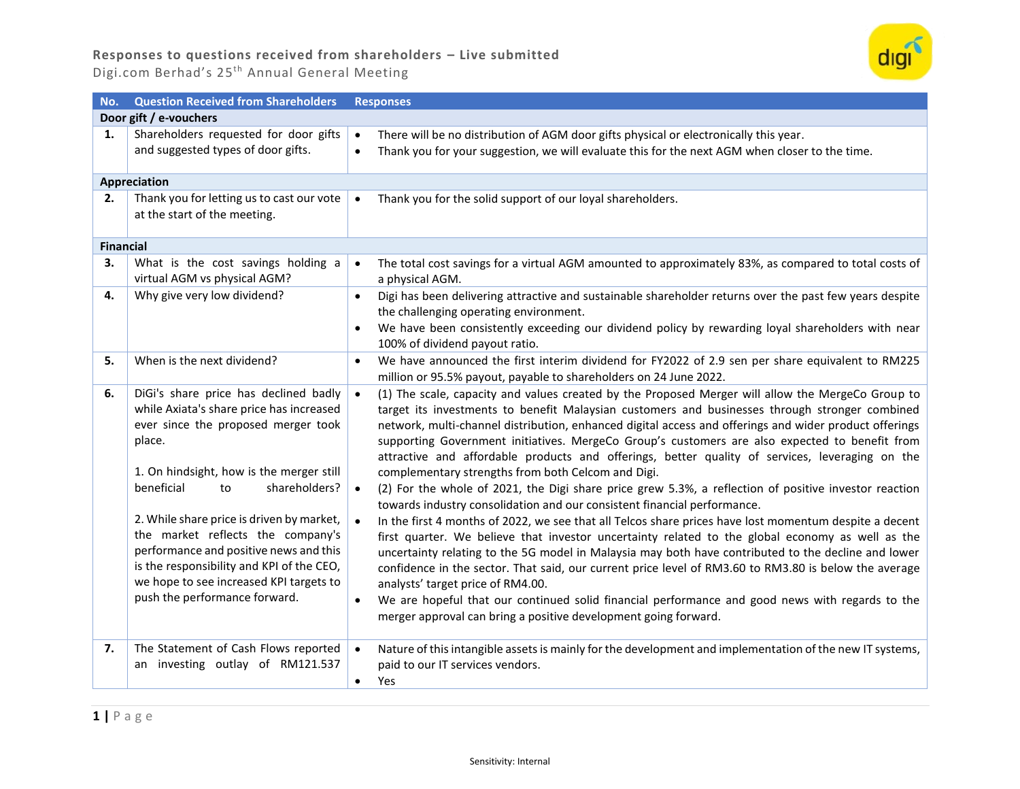

| No.              | <b>Question Received from Shareholders</b>                                                                                                                                                                                                                                                                                                                                                                                                                               | <b>Responses</b>                                                                                                                                                                                                                                                                                                                                                                                                                                                                                                                                                                                                                                                                                                                                                                                                                                                                                                                                                                                                                                                                                                                                                                                                                                                                                                                                                                                                                              |  |  |
|------------------|--------------------------------------------------------------------------------------------------------------------------------------------------------------------------------------------------------------------------------------------------------------------------------------------------------------------------------------------------------------------------------------------------------------------------------------------------------------------------|-----------------------------------------------------------------------------------------------------------------------------------------------------------------------------------------------------------------------------------------------------------------------------------------------------------------------------------------------------------------------------------------------------------------------------------------------------------------------------------------------------------------------------------------------------------------------------------------------------------------------------------------------------------------------------------------------------------------------------------------------------------------------------------------------------------------------------------------------------------------------------------------------------------------------------------------------------------------------------------------------------------------------------------------------------------------------------------------------------------------------------------------------------------------------------------------------------------------------------------------------------------------------------------------------------------------------------------------------------------------------------------------------------------------------------------------------|--|--|
|                  | Door gift / e-vouchers                                                                                                                                                                                                                                                                                                                                                                                                                                                   |                                                                                                                                                                                                                                                                                                                                                                                                                                                                                                                                                                                                                                                                                                                                                                                                                                                                                                                                                                                                                                                                                                                                                                                                                                                                                                                                                                                                                                               |  |  |
| 1.               | Shareholders requested for door gifts<br>and suggested types of door gifts.                                                                                                                                                                                                                                                                                                                                                                                              | There will be no distribution of AGM door gifts physical or electronically this year.<br>$\bullet$<br>Thank you for your suggestion, we will evaluate this for the next AGM when closer to the time.<br>$\bullet$                                                                                                                                                                                                                                                                                                                                                                                                                                                                                                                                                                                                                                                                                                                                                                                                                                                                                                                                                                                                                                                                                                                                                                                                                             |  |  |
|                  | <b>Appreciation</b>                                                                                                                                                                                                                                                                                                                                                                                                                                                      |                                                                                                                                                                                                                                                                                                                                                                                                                                                                                                                                                                                                                                                                                                                                                                                                                                                                                                                                                                                                                                                                                                                                                                                                                                                                                                                                                                                                                                               |  |  |
| 2.               | Thank you for letting us to cast our vote<br>at the start of the meeting.                                                                                                                                                                                                                                                                                                                                                                                                | Thank you for the solid support of our loyal shareholders.                                                                                                                                                                                                                                                                                                                                                                                                                                                                                                                                                                                                                                                                                                                                                                                                                                                                                                                                                                                                                                                                                                                                                                                                                                                                                                                                                                                    |  |  |
| <b>Financial</b> |                                                                                                                                                                                                                                                                                                                                                                                                                                                                          |                                                                                                                                                                                                                                                                                                                                                                                                                                                                                                                                                                                                                                                                                                                                                                                                                                                                                                                                                                                                                                                                                                                                                                                                                                                                                                                                                                                                                                               |  |  |
| 3.               | What is the cost savings holding a<br>virtual AGM vs physical AGM?                                                                                                                                                                                                                                                                                                                                                                                                       | The total cost savings for a virtual AGM amounted to approximately 83%, as compared to total costs of<br>a physical AGM.                                                                                                                                                                                                                                                                                                                                                                                                                                                                                                                                                                                                                                                                                                                                                                                                                                                                                                                                                                                                                                                                                                                                                                                                                                                                                                                      |  |  |
| 4.               | Why give very low dividend?                                                                                                                                                                                                                                                                                                                                                                                                                                              | Digi has been delivering attractive and sustainable shareholder returns over the past few years despite<br>$\bullet$<br>the challenging operating environment.<br>We have been consistently exceeding our dividend policy by rewarding loyal shareholders with near<br>$\bullet$<br>100% of dividend payout ratio.                                                                                                                                                                                                                                                                                                                                                                                                                                                                                                                                                                                                                                                                                                                                                                                                                                                                                                                                                                                                                                                                                                                            |  |  |
| 5.               | When is the next dividend?                                                                                                                                                                                                                                                                                                                                                                                                                                               | We have announced the first interim dividend for FY2022 of 2.9 sen per share equivalent to RM225<br>$\bullet$<br>million or 95.5% payout, payable to shareholders on 24 June 2022.                                                                                                                                                                                                                                                                                                                                                                                                                                                                                                                                                                                                                                                                                                                                                                                                                                                                                                                                                                                                                                                                                                                                                                                                                                                            |  |  |
| 6.               | DiGi's share price has declined badly<br>while Axiata's share price has increased<br>ever since the proposed merger took<br>place.<br>1. On hindsight, how is the merger still<br>beneficial<br>shareholders?<br>to<br>2. While share price is driven by market,<br>the market reflects the company's<br>performance and positive news and this<br>is the responsibility and KPI of the CEO,<br>we hope to see increased KPI targets to<br>push the performance forward. | (1) The scale, capacity and values created by the Proposed Merger will allow the MergeCo Group to<br>$\bullet$<br>target its investments to benefit Malaysian customers and businesses through stronger combined<br>network, multi-channel distribution, enhanced digital access and offerings and wider product offerings<br>supporting Government initiatives. MergeCo Group's customers are also expected to benefit from<br>attractive and affordable products and offerings, better quality of services, leveraging on the<br>complementary strengths from both Celcom and Digi.<br>(2) For the whole of 2021, the Digi share price grew 5.3%, a reflection of positive investor reaction<br>$\bullet$<br>towards industry consolidation and our consistent financial performance.<br>In the first 4 months of 2022, we see that all Telcos share prices have lost momentum despite a decent<br>first quarter. We believe that investor uncertainty related to the global economy as well as the<br>uncertainty relating to the 5G model in Malaysia may both have contributed to the decline and lower<br>confidence in the sector. That said, our current price level of RM3.60 to RM3.80 is below the average<br>analysts' target price of RM4.00.<br>We are hopeful that our continued solid financial performance and good news with regards to the<br>$\bullet$<br>merger approval can bring a positive development going forward. |  |  |
| 7.               | The Statement of Cash Flows reported<br>an investing outlay of RM121.537                                                                                                                                                                                                                                                                                                                                                                                                 | Nature of this intangible assets is mainly for the development and implementation of the new IT systems,<br>$\bullet$<br>paid to our IT services vendors.<br>Yes<br>$\bullet$                                                                                                                                                                                                                                                                                                                                                                                                                                                                                                                                                                                                                                                                                                                                                                                                                                                                                                                                                                                                                                                                                                                                                                                                                                                                 |  |  |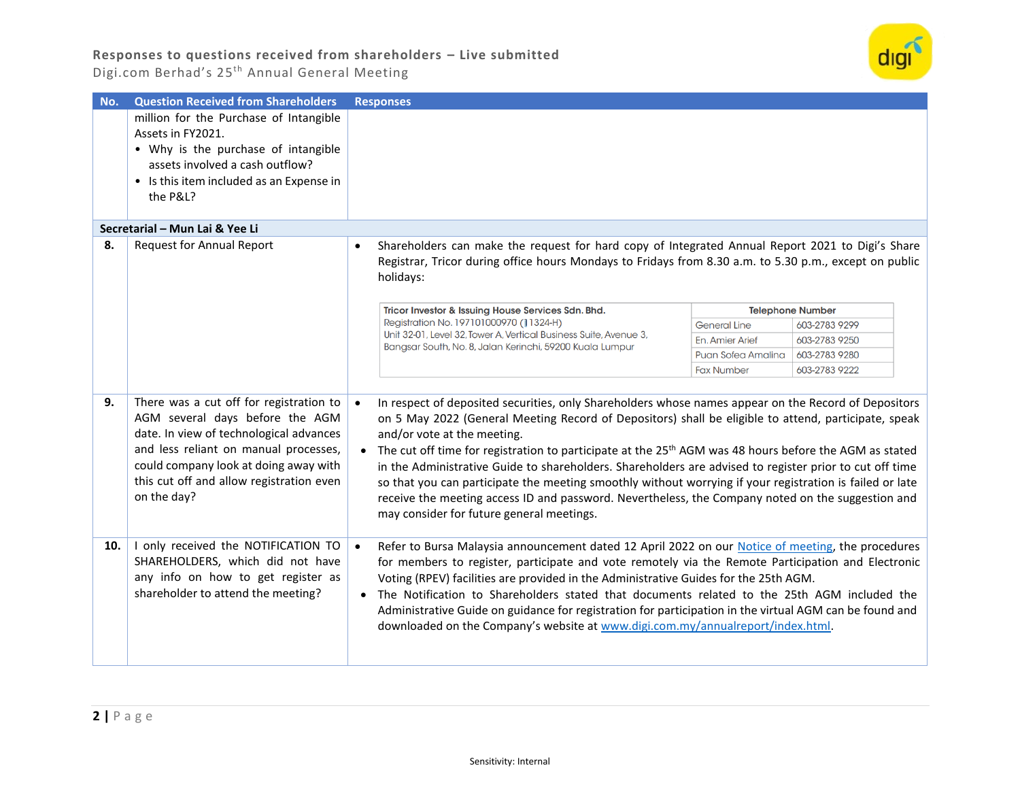

| No. | <b>Question Received from Shareholders</b>                                                                                                                                                                                                                         | <b>Responses</b>                                                                                                                                                                                                                                                                                                                                                                                                                                                                                                                                                                                                                                                                                                                             |                     |                         |
|-----|--------------------------------------------------------------------------------------------------------------------------------------------------------------------------------------------------------------------------------------------------------------------|----------------------------------------------------------------------------------------------------------------------------------------------------------------------------------------------------------------------------------------------------------------------------------------------------------------------------------------------------------------------------------------------------------------------------------------------------------------------------------------------------------------------------------------------------------------------------------------------------------------------------------------------------------------------------------------------------------------------------------------------|---------------------|-------------------------|
|     | million for the Purchase of Intangible<br>Assets in FY2021.<br>• Why is the purchase of intangible<br>assets involved a cash outflow?<br>• Is this item included as an Expense in<br>the P&L?                                                                      |                                                                                                                                                                                                                                                                                                                                                                                                                                                                                                                                                                                                                                                                                                                                              |                     |                         |
|     |                                                                                                                                                                                                                                                                    |                                                                                                                                                                                                                                                                                                                                                                                                                                                                                                                                                                                                                                                                                                                                              |                     |                         |
|     | Secretarial - Mun Lai & Yee Li                                                                                                                                                                                                                                     |                                                                                                                                                                                                                                                                                                                                                                                                                                                                                                                                                                                                                                                                                                                                              |                     |                         |
| 8.  | <b>Request for Annual Report</b>                                                                                                                                                                                                                                   | Shareholders can make the request for hard copy of Integrated Annual Report 2021 to Digi's Share<br>$\bullet$<br>Registrar, Tricor during office hours Mondays to Fridays from 8.30 a.m. to 5.30 p.m., except on public<br>holidays:                                                                                                                                                                                                                                                                                                                                                                                                                                                                                                         |                     |                         |
|     |                                                                                                                                                                                                                                                                    | Tricor Investor & Issuing House Services Sdn. Bhd.                                                                                                                                                                                                                                                                                                                                                                                                                                                                                                                                                                                                                                                                                           |                     | <b>Telephone Number</b> |
|     |                                                                                                                                                                                                                                                                    | Registration No. 197101000970 (11324-H)                                                                                                                                                                                                                                                                                                                                                                                                                                                                                                                                                                                                                                                                                                      | <b>General Line</b> | 603-2783 9299           |
|     |                                                                                                                                                                                                                                                                    | Unit 32-01, Level 32, Tower A, Vertical Business Suite, Avenue 3,<br>Bangsar South, No. 8, Jalan Kerinchi, 59200 Kuala Lumpur                                                                                                                                                                                                                                                                                                                                                                                                                                                                                                                                                                                                                | En, Amier Arief     | 603-2783 9250           |
|     |                                                                                                                                                                                                                                                                    |                                                                                                                                                                                                                                                                                                                                                                                                                                                                                                                                                                                                                                                                                                                                              | Puan Sofea Amalina  | 603-2783 9280           |
|     |                                                                                                                                                                                                                                                                    |                                                                                                                                                                                                                                                                                                                                                                                                                                                                                                                                                                                                                                                                                                                                              | <b>Fax Number</b>   | 603-2783 9222           |
| 9.  | There was a cut off for registration to<br>AGM several days before the AGM<br>date. In view of technological advances<br>and less reliant on manual processes,<br>could company look at doing away with<br>this cut off and allow registration even<br>on the day? | In respect of deposited securities, only Shareholders whose names appear on the Record of Depositors<br>on 5 May 2022 (General Meeting Record of Depositors) shall be eligible to attend, participate, speak<br>and/or vote at the meeting.<br>• The cut off time for registration to participate at the 25 <sup>th</sup> AGM was 48 hours before the AGM as stated<br>in the Administrative Guide to shareholders. Shareholders are advised to register prior to cut off time<br>so that you can participate the meeting smoothly without worrying if your registration is failed or late<br>receive the meeting access ID and password. Nevertheless, the Company noted on the suggestion and<br>may consider for future general meetings. |                     |                         |
| 10. | I only received the NOTIFICATION TO<br>SHAREHOLDERS, which did not have<br>any info on how to get register as<br>shareholder to attend the meeting?                                                                                                                | Refer to Bursa Malaysia announcement dated 12 April 2022 on our Notice of meeting, the procedures<br>$\bullet$<br>for members to register, participate and vote remotely via the Remote Participation and Electronic<br>Voting (RPEV) facilities are provided in the Administrative Guides for the 25th AGM.<br>The Notification to Shareholders stated that documents related to the 25th AGM included the<br>$\bullet$<br>Administrative Guide on guidance for registration for participation in the virtual AGM can be found and<br>downloaded on the Company's website at www.digi.com.my/annualreport/index.html.                                                                                                                       |                     |                         |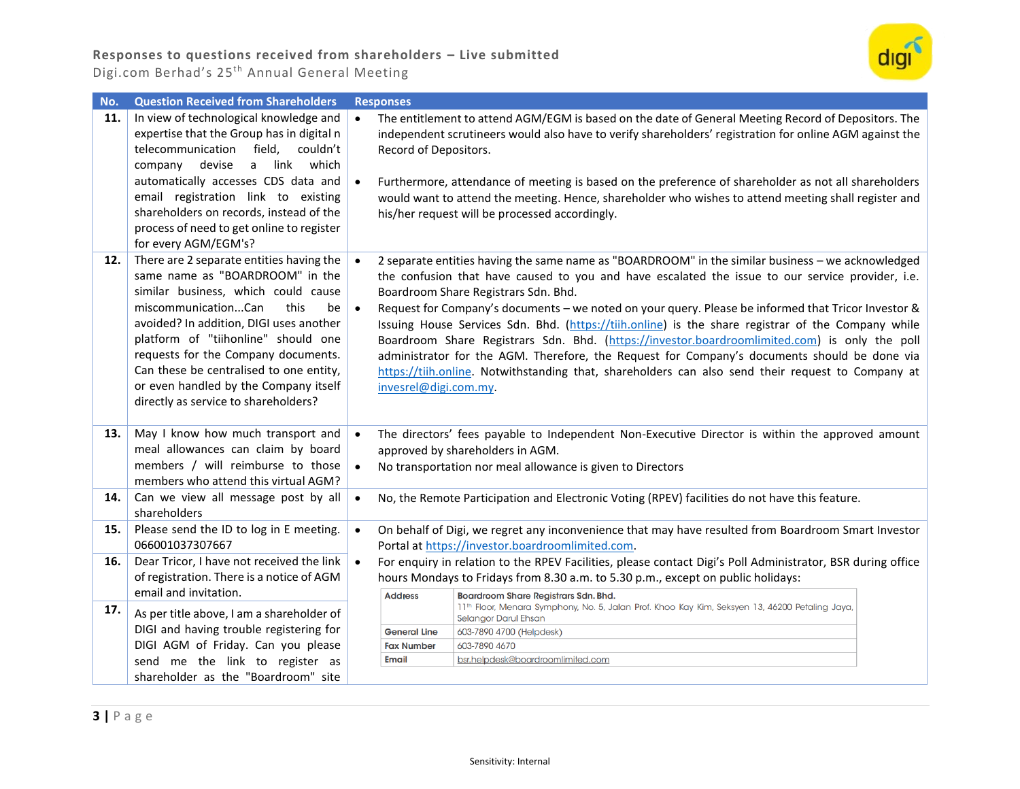

| No. | <b>Question Received from Shareholders</b>                                                                                                                                                                                                                                                                                                                                                                   | <b>Responses</b> |                                                                                                                                                                                                                                                                                                                                                                                                                                                                                                                                                                                                                                                                                                                                                                                           |  |
|-----|--------------------------------------------------------------------------------------------------------------------------------------------------------------------------------------------------------------------------------------------------------------------------------------------------------------------------------------------------------------------------------------------------------------|------------------|-------------------------------------------------------------------------------------------------------------------------------------------------------------------------------------------------------------------------------------------------------------------------------------------------------------------------------------------------------------------------------------------------------------------------------------------------------------------------------------------------------------------------------------------------------------------------------------------------------------------------------------------------------------------------------------------------------------------------------------------------------------------------------------------|--|
| 11. | In view of technological knowledge and<br>expertise that the Group has in digital n<br>telecommunication field,<br>couldn't<br>link<br>which<br>company<br>devise<br>a<br>automatically accesses CDS data and<br>email registration link to existing<br>shareholders on records, instead of the<br>process of need to get online to register<br>for every AGM/EGM's?                                         | $\bullet$        | The entitlement to attend AGM/EGM is based on the date of General Meeting Record of Depositors. The<br>independent scrutineers would also have to verify shareholders' registration for online AGM against the<br>Record of Depositors.<br>Furthermore, attendance of meeting is based on the preference of shareholder as not all shareholders<br>would want to attend the meeting. Hence, shareholder who wishes to attend meeting shall register and<br>his/her request will be processed accordingly.                                                                                                                                                                                                                                                                                 |  |
| 12. | There are 2 separate entities having the<br>same name as "BOARDROOM" in the<br>similar business, which could cause<br>miscommunicationCan<br>this<br>be<br>avoided? In addition, DIGI uses another<br>platform of "tiihonline" should one<br>requests for the Company documents.<br>Can these be centralised to one entity,<br>or even handled by the Company itself<br>directly as service to shareholders? | $\bullet$        | 2 separate entities having the same name as "BOARDROOM" in the similar business - we acknowledged<br>the confusion that have caused to you and have escalated the issue to our service provider, i.e.<br>Boardroom Share Registrars Sdn. Bhd.<br>Request for Company's documents - we noted on your query. Please be informed that Tricor Investor &<br>Issuing House Services Sdn. Bhd. (https://tiih.online) is the share registrar of the Company while<br>Boardroom Share Registrars Sdn. Bhd. (https://investor.boardroomlimited.com) is only the poll<br>administrator for the AGM. Therefore, the Request for Company's documents should be done via<br>https://tiih.online. Notwithstanding that, shareholders can also send their request to Company at<br>invesrel@digi.com.my. |  |
| 13. | May I know how much transport and<br>meal allowances can claim by board<br>members / will reimburse to those<br>members who attend this virtual AGM?                                                                                                                                                                                                                                                         | $\bullet$        | The directors' fees payable to Independent Non-Executive Director is within the approved amount<br>approved by shareholders in AGM.<br>No transportation nor meal allowance is given to Directors                                                                                                                                                                                                                                                                                                                                                                                                                                                                                                                                                                                         |  |
| 14. | Can we view all message post by all<br>shareholders                                                                                                                                                                                                                                                                                                                                                          | $\bullet$        | No, the Remote Participation and Electronic Voting (RPEV) facilities do not have this feature.                                                                                                                                                                                                                                                                                                                                                                                                                                                                                                                                                                                                                                                                                            |  |
| 15. | Please send the ID to log in E meeting.<br>066001037307667                                                                                                                                                                                                                                                                                                                                                   | $\bullet$        | On behalf of Digi, we regret any inconvenience that may have resulted from Boardroom Smart Investor<br>Portal at https://investor.boardroomlimited.com.                                                                                                                                                                                                                                                                                                                                                                                                                                                                                                                                                                                                                                   |  |
| 16. | Dear Tricor, I have not received the link<br>of registration. There is a notice of AGM<br>email and invitation.                                                                                                                                                                                                                                                                                              | $\bullet$        | For enquiry in relation to the RPEV Facilities, please contact Digi's Poll Administrator, BSR during office<br>hours Mondays to Fridays from 8.30 a.m. to 5.30 p.m., except on public holidays:<br><b>Address</b><br>Boardroom Share Registrars Sdn. Bhd.                                                                                                                                                                                                                                                                                                                                                                                                                                                                                                                                 |  |
| 17. | As per title above, I am a shareholder of<br>DIGI and having trouble registering for<br>DIGI AGM of Friday. Can you please<br>send me the link to register as<br>shareholder as the "Boardroom" site                                                                                                                                                                                                         |                  | 11th Floor, Menara Symphony, No. 5, Jalan Prof. Khoo Kay Kim, Seksyen 13, 46200 Petaling Jaya,<br>Selangor Darul Ehsan<br>603-7890 4700 (Helpdesk)<br><b>General Line</b><br>603-7890 4670<br><b>Fax Number</b><br><b>Email</b><br>bsr.helpdesk@boardroomlimited.com                                                                                                                                                                                                                                                                                                                                                                                                                                                                                                                      |  |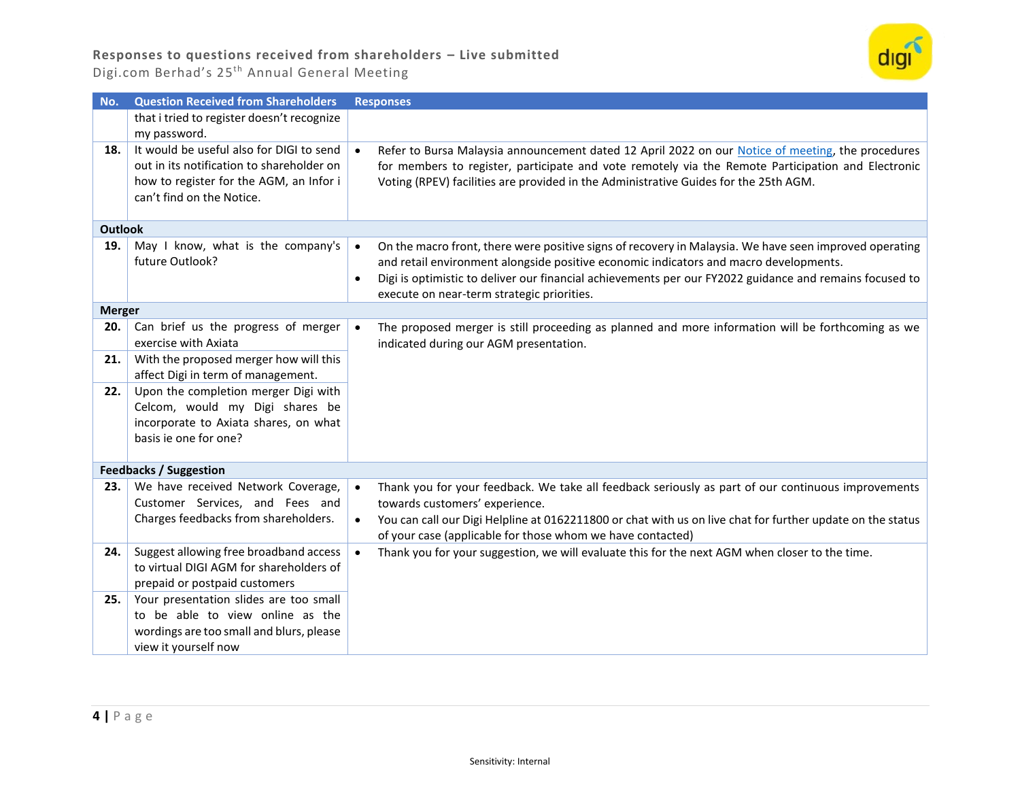

| No.            | <b>Question Received from Shareholders</b>                                                                                                                    | <b>Responses</b>                                                                                                                                                                                                                                                                                                                                                                   |
|----------------|---------------------------------------------------------------------------------------------------------------------------------------------------------------|------------------------------------------------------------------------------------------------------------------------------------------------------------------------------------------------------------------------------------------------------------------------------------------------------------------------------------------------------------------------------------|
|                | that i tried to register doesn't recognize<br>my password.                                                                                                    |                                                                                                                                                                                                                                                                                                                                                                                    |
| 18.            | It would be useful also for DIGI to send<br>out in its notification to shareholder on<br>how to register for the AGM, an Infor i<br>can't find on the Notice. | Refer to Bursa Malaysia announcement dated 12 April 2022 on our Notice of meeting, the procedures<br>for members to register, participate and vote remotely via the Remote Participation and Electronic<br>Voting (RPEV) facilities are provided in the Administrative Guides for the 25th AGM.                                                                                    |
| <b>Outlook</b> |                                                                                                                                                               |                                                                                                                                                                                                                                                                                                                                                                                    |
| 19.            | May I know, what is the company's<br>future Outlook?                                                                                                          | On the macro front, there were positive signs of recovery in Malaysia. We have seen improved operating<br>$\bullet$<br>and retail environment alongside positive economic indicators and macro developments.<br>Digi is optimistic to deliver our financial achievements per our FY2022 guidance and remains focused to<br>$\bullet$<br>execute on near-term strategic priorities. |
| <b>Merger</b>  |                                                                                                                                                               |                                                                                                                                                                                                                                                                                                                                                                                    |
| 20.            | Can brief us the progress of merger<br>exercise with Axiata                                                                                                   | The proposed merger is still proceeding as planned and more information will be forthcoming as we<br>$\bullet$<br>indicated during our AGM presentation.                                                                                                                                                                                                                           |
| 21.            | With the proposed merger how will this<br>affect Digi in term of management.                                                                                  |                                                                                                                                                                                                                                                                                                                                                                                    |
| 22.            | Upon the completion merger Digi with<br>Celcom, would my Digi shares be<br>incorporate to Axiata shares, on what<br>basis ie one for one?                     |                                                                                                                                                                                                                                                                                                                                                                                    |
|                | <b>Feedbacks / Suggestion</b>                                                                                                                                 |                                                                                                                                                                                                                                                                                                                                                                                    |
| 23.            | We have received Network Coverage,<br>Customer Services, and Fees and<br>Charges feedbacks from shareholders.                                                 | Thank you for your feedback. We take all feedback seriously as part of our continuous improvements<br>towards customers' experience.<br>You can call our Digi Helpline at 0162211800 or chat with us on live chat for further update on the status<br>$\bullet$<br>of your case (applicable for those whom we have contacted)                                                      |
| 24.            | Suggest allowing free broadband access<br>to virtual DIGI AGM for shareholders of<br>prepaid or postpaid customers                                            | Thank you for your suggestion, we will evaluate this for the next AGM when closer to the time.                                                                                                                                                                                                                                                                                     |
| 25.            | Your presentation slides are too small<br>to be able to view online as the<br>wordings are too small and blurs, please<br>view it yourself now                |                                                                                                                                                                                                                                                                                                                                                                                    |